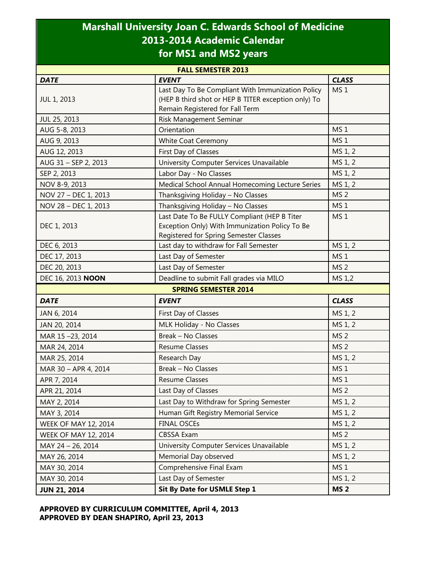## **Marshall University Joan C. Edwards School of Medicine 2013-2014 Academic Calendar for MS1 and MS2 years**

| <b>FALL SEMESTER 2013</b>   |                                                                                                                                             |                 |  |  |
|-----------------------------|---------------------------------------------------------------------------------------------------------------------------------------------|-----------------|--|--|
| <b>DATE</b>                 | <b>EVENT</b>                                                                                                                                | <b>CLASS</b>    |  |  |
| <b>JUL 1, 2013</b>          | Last Day To Be Compliant With Immunization Policy<br>(HEP B third shot or HEP B TITER exception only) To<br>Remain Registered for Fall Term | MS <sub>1</sub> |  |  |
| JUL 25, 2013                | Risk Management Seminar                                                                                                                     |                 |  |  |
| AUG 5-8, 2013               | Orientation                                                                                                                                 | MS <sub>1</sub> |  |  |
| AUG 9, 2013                 | <b>White Coat Ceremony</b>                                                                                                                  | MS <sub>1</sub> |  |  |
| AUG 12, 2013                | First Day of Classes                                                                                                                        | MS 1, 2         |  |  |
| AUG 31 - SEP 2, 2013        | University Computer Services Unavailable                                                                                                    | MS 1, 2         |  |  |
| SEP 2, 2013                 | Labor Day - No Classes                                                                                                                      | MS 1, 2         |  |  |
| NOV 8-9, 2013               | Medical School Annual Homecoming Lecture Series                                                                                             | MS 1, 2         |  |  |
| NOV 27 - DEC 1, 2013        | Thanksgiving Holiday - No Classes                                                                                                           | MS <sub>2</sub> |  |  |
| NOV 28 - DEC 1, 2013        | Thanksgiving Holiday - No Classes                                                                                                           | MS <sub>1</sub> |  |  |
| DEC 1, 2013                 | Last Date To Be FULLY Compliant (HEP B Titer<br>Exception Only) With Immunization Policy To Be<br>Registered for Spring Semester Classes    | MS <sub>1</sub> |  |  |
| DEC 6, 2013                 | Last day to withdraw for Fall Semester                                                                                                      | MS 1, 2         |  |  |
| DEC 17, 2013                | Last Day of Semester                                                                                                                        | MS <sub>1</sub> |  |  |
| DEC 20, 2013                | Last Day of Semester                                                                                                                        | MS <sub>2</sub> |  |  |
| DEC 16, 2013 NOON           | Deadline to submit Fall grades via MILO                                                                                                     | MS 1,2          |  |  |
|                             | <b>SPRING SEMESTER 2014</b>                                                                                                                 |                 |  |  |
| <b>DATE</b>                 | <b>EVENT</b>                                                                                                                                | <b>CLASS</b>    |  |  |
| JAN 6, 2014                 | First Day of Classes                                                                                                                        | MS 1, 2         |  |  |
| JAN 20, 2014                | MLK Holiday - No Classes                                                                                                                    | MS 1, 2         |  |  |
| MAR 15-23, 2014             | <b>Break - No Classes</b>                                                                                                                   | MS <sub>2</sub> |  |  |
| MAR 24, 2014                | <b>Resume Classes</b>                                                                                                                       | MS <sub>2</sub> |  |  |
| MAR 25, 2014                | Research Day                                                                                                                                | MS 1, 2         |  |  |
| MAR 30 - APR 4, 2014        | <b>Break - No Classes</b>                                                                                                                   | MS <sub>1</sub> |  |  |
| APR 7, 2014                 | <b>Resume Classes</b>                                                                                                                       | MS <sub>1</sub> |  |  |
| APR 21, 2014                | Last Day of Classes                                                                                                                         | MS <sub>2</sub> |  |  |
| MAY 2, 2014                 | Last Day to Withdraw for Spring Semester                                                                                                    | MS 1, 2         |  |  |
| MAY 3, 2014                 | Human Gift Registry Memorial Service                                                                                                        | MS 1, 2         |  |  |
| <b>WEEK OF MAY 12, 2014</b> | <b>FINAL OSCEs</b>                                                                                                                          | MS 1, 2         |  |  |
| <b>WEEK OF MAY 12, 2014</b> | <b>CBSSA Exam</b>                                                                                                                           | MS <sub>2</sub> |  |  |
| MAY 24 - 26, 2014           | University Computer Services Unavailable                                                                                                    | MS 1, 2         |  |  |
| MAY 26, 2014                | Memorial Day observed                                                                                                                       | MS 1, 2         |  |  |
| MAY 30, 2014                | Comprehensive Final Exam                                                                                                                    | MS <sub>1</sub> |  |  |
| MAY 30, 2014                | Last Day of Semester                                                                                                                        | MS 1, 2         |  |  |
| <b>JUN 21, 2014</b>         | Sit By Date for USMLE Step 1                                                                                                                | <b>MS 2</b>     |  |  |

## **APPROVED BY CURRICULUM COMMITTEE, April 4, 2013 APPROVED BY DEAN SHAPIRO, April 23, 2013**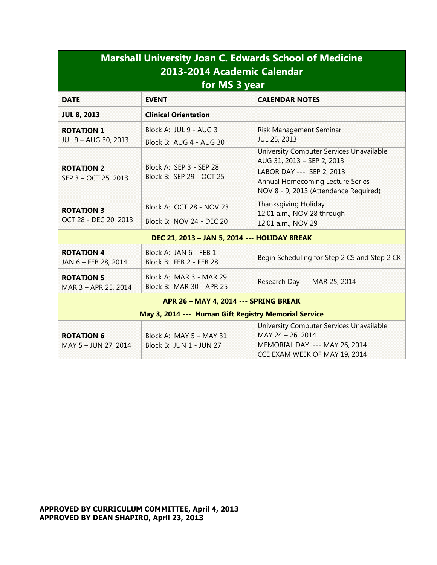| <b>Marshall University Joan C. Edwards School of Medicine</b><br>2013-2014 Academic Calendar<br>for MS 3 year |                                                      |                                                                                                                                                                                  |  |  |
|---------------------------------------------------------------------------------------------------------------|------------------------------------------------------|----------------------------------------------------------------------------------------------------------------------------------------------------------------------------------|--|--|
| <b>DATE</b>                                                                                                   | <b>EVENT</b>                                         | <b>CALENDAR NOTES</b>                                                                                                                                                            |  |  |
| <b>JUL 8, 2013</b>                                                                                            | <b>Clinical Orientation</b>                          |                                                                                                                                                                                  |  |  |
| <b>ROTATION 1</b><br>JUL 9 - AUG 30, 2013                                                                     | Block A: JUL 9 - AUG 3<br>Block B: AUG 4 - AUG 30    | <b>Risk Management Seminar</b><br>JUL 25, 2013                                                                                                                                   |  |  |
| <b>ROTATION 2</b><br>SEP 3 - OCT 25, 2013                                                                     | Block A: SEP 3 - SEP 28<br>Block B: SEP 29 - OCT 25  | University Computer Services Unavailable<br>AUG 31, 2013 - SEP 2, 2013<br>LABOR DAY --- SEP 2, 2013<br>Annual Homecoming Lecture Series<br>NOV 8 - 9, 2013 (Attendance Required) |  |  |
| <b>ROTATION 3</b><br>OCT 28 - DEC 20, 2013                                                                    | Block A: OCT 28 - NOV 23<br>Block B: NOV 24 - DEC 20 | <b>Thanksgiving Holiday</b><br>12:01 a.m., NOV 28 through<br>12:01 a.m., NOV 29                                                                                                  |  |  |
| DEC 21, 2013 - JAN 5, 2014 --- HOLIDAY BREAK                                                                  |                                                      |                                                                                                                                                                                  |  |  |
| <b>ROTATION 4</b><br>JAN 6 - FEB 28, 2014                                                                     | Block A: JAN 6 - FEB 1<br>Block B: FEB 2 - FEB 28    | Begin Scheduling for Step 2 CS and Step 2 CK                                                                                                                                     |  |  |
| <b>ROTATION 5</b><br>MAR 3 - APR 25, 2014                                                                     | Block A: MAR 3 - MAR 29<br>Block B: MAR 30 - APR 25  | Research Day --- MAR 25, 2014                                                                                                                                                    |  |  |
| APR 26 - MAY 4, 2014 --- SPRING BREAK                                                                         |                                                      |                                                                                                                                                                                  |  |  |
| May 3, 2014 --- Human Gift Registry Memorial Service                                                          |                                                      |                                                                                                                                                                                  |  |  |
| <b>ROTATION 6</b><br>MAY 5 - JUN 27, 2014                                                                     | Block A: MAY 5 - MAY 31<br>Block B: JUN 1 - JUN 27   | University Computer Services Unavailable<br>MAY 24 - 26, 2014<br>MEMORIAL DAY --- MAY 26, 2014<br>CCE EXAM WEEK OF MAY 19, 2014                                                  |  |  |